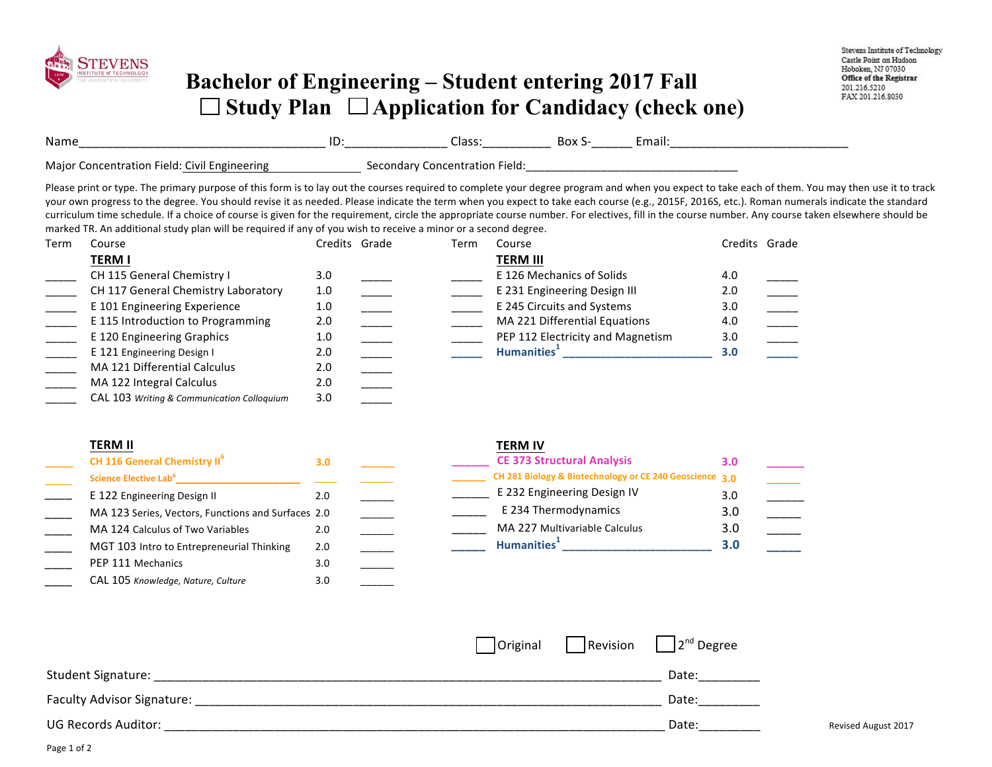| <u> La Carlo de la Carlo de la Carlo de la Carlo de la Carlo de la Carlo de la Carlo de la Carlo de la Carlo de l</u> |
|-----------------------------------------------------------------------------------------------------------------------|

 $\begin{array}{ccccccccccccc} \Box & & \Box & & \Box & & \Box \end{array}$